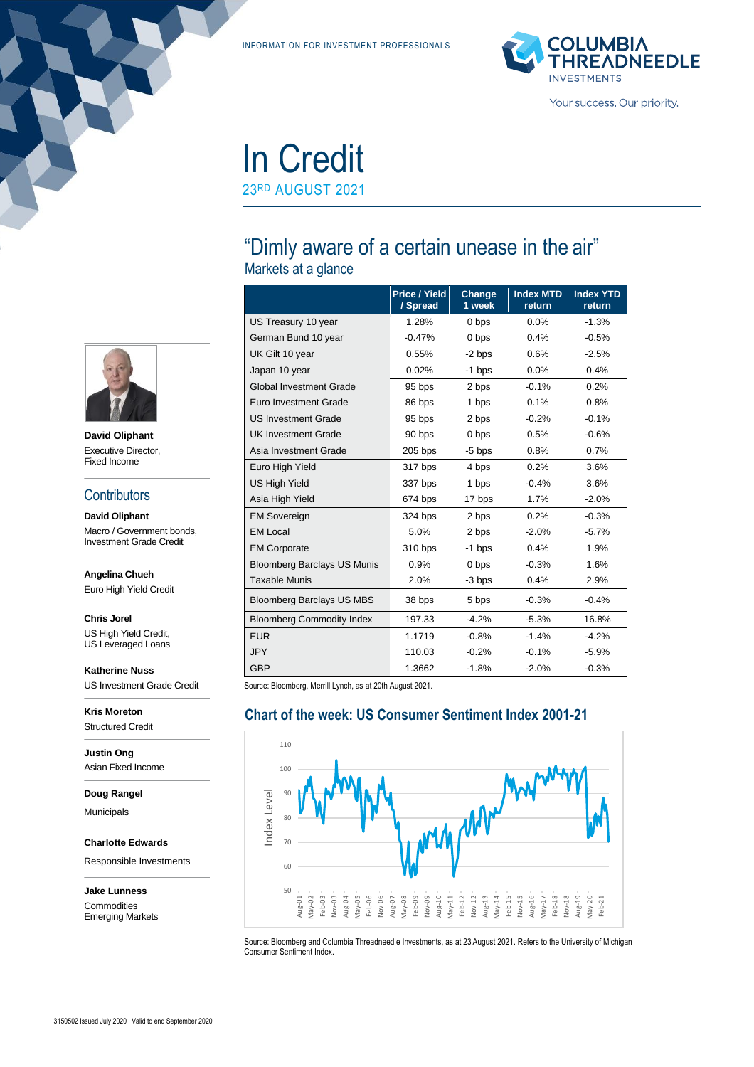INFORMATION FOR INVESTMENT PROFESSIONALS



# In Credit

23RD AUGUST 2021

# "Dimly aware of a certain unease in the air"

Markets at a glance

|                                    | <b>Price / Yield</b><br>/ Spread | Change<br>1 week | <b>Index MTD</b><br>return | <b>Index YTD</b><br>return |
|------------------------------------|----------------------------------|------------------|----------------------------|----------------------------|
| US Treasury 10 year                | 1.28%                            | 0 bps            | $0.0\%$                    | $-1.3%$                    |
| German Bund 10 year                | $-0.47%$                         | 0 bps            | 0.4%                       | $-0.5%$                    |
| UK Gilt 10 year                    | 0.55%                            | $-2$ bps         | 0.6%                       | $-2.5%$                    |
| Japan 10 year                      | 0.02%                            | $-1$ bps         | 0.0%                       | 0.4%                       |
| <b>Global Investment Grade</b>     | 95 bps                           | 2 bps            | $-0.1%$                    | 0.2%                       |
| Euro Investment Grade              | 86 bps                           | 1 bps            | 0.1%                       | 0.8%                       |
| <b>US Investment Grade</b>         | 95 bps                           | 2 bps            | $-0.2%$                    | $-0.1%$                    |
| <b>UK Investment Grade</b>         | 90 bps                           | 0 bps            | 0.5%                       | $-0.6%$                    |
| Asia Investment Grade              | $205$ bps                        | $-5$ bps         | 0.8%                       | 0.7%                       |
| Euro High Yield                    | 317 bps                          | 4 bps            | 0.2%                       | 3.6%                       |
| <b>US High Yield</b>               | 337 bps                          | 1 bps            | $-0.4%$                    | 3.6%                       |
| Asia High Yield                    | 674 bps                          | 17 bps           | 1.7%                       | $-2.0%$                    |
| <b>EM Sovereign</b>                | 324 bps                          | 2 bps            | 0.2%                       | $-0.3%$                    |
| <b>EM Local</b>                    | 5.0%                             | 2 bps            | $-2.0%$                    | $-5.7%$                    |
| <b>EM Corporate</b>                | 310 bps                          | -1 bps           | 0.4%                       | 1.9%                       |
| <b>Bloomberg Barclays US Munis</b> | 0.9%                             | 0 bps            | $-0.3%$                    | 1.6%                       |
| <b>Taxable Munis</b>               | 2.0%                             | -3 bps           | 0.4%                       | 2.9%                       |
| <b>Bloomberg Barclays US MBS</b>   | 38 bps                           | 5 bps            | $-0.3%$                    | $-0.4%$                    |
| <b>Bloomberg Commodity Index</b>   | 197.33                           | $-4.2%$          | $-5.3%$                    | 16.8%                      |
| <b>EUR</b>                         | 1.1719                           | $-0.8%$          | $-1.4%$                    | $-4.2%$                    |
| <b>JPY</b>                         | 110.03                           | $-0.2%$          | $-0.1%$                    | $-5.9\%$                   |
| <b>GBP</b>                         | 1.3662                           | $-1.8%$          | $-2.0%$                    | $-0.3%$                    |

Source: Bloomberg, Merrill Lynch, as at 20th August 2021.

# **Chart of the week: US Consumer Sentiment Index 2001-21**



Source: Bloomberg and Columbia Threadneedle Investments, as at 23 August 2021. Refers to the University of Michigan Consumer Sentiment Index.



**David Oliphant** Executive Director, Fixed Income

#### **Contributors**

**David Oliphant** Macro / Government bonds, Investment Grade Credit

**Angelina Chueh**

Euro High Yield Credit

**Chris Jorel** US High Yield Credit,

US Leveraged Loans

**Katherine Nuss** US Investment Grade Credit

**Kris Moreton** Structured Credit

**Justin Ong** Asian Fixed Income

**Doug Rangel**

Municipals

**Charlotte Edwards**

Responsible Investments

**Jake Lunness Commodities** Emerging Markets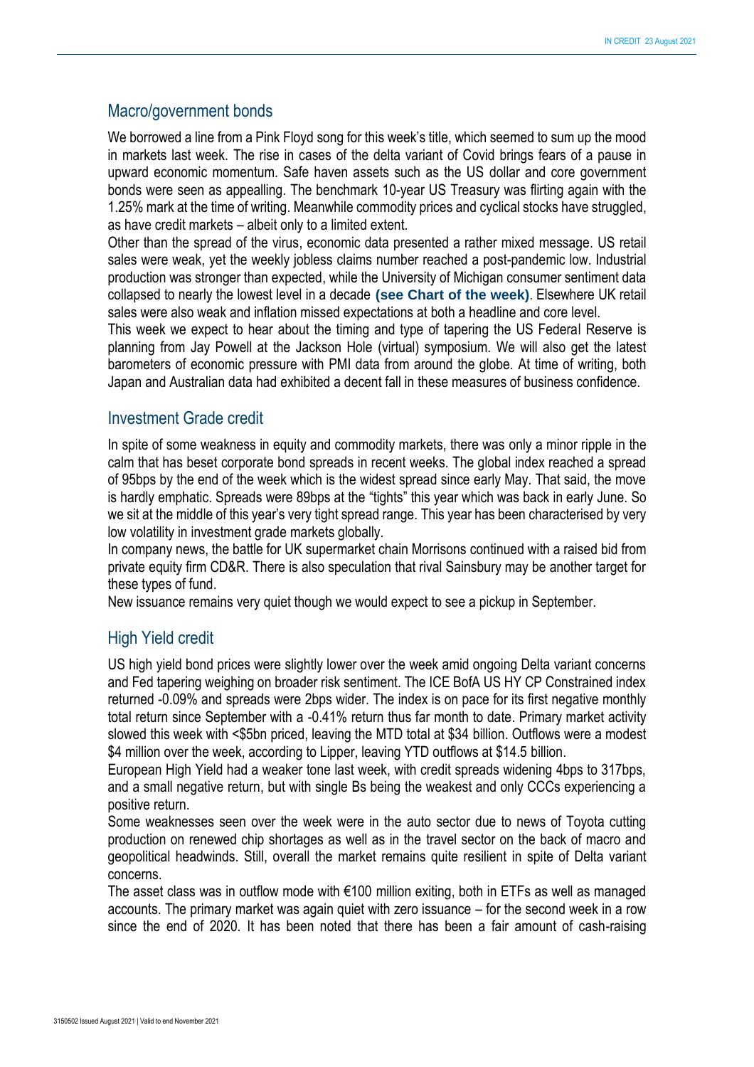### Macro/government bonds

We borrowed a line from a Pink Floyd song for this week's title, which seemed to sum up the mood in markets last week. The rise in cases of the delta variant of Covid brings fears of a pause in upward economic momentum. Safe haven assets such as the US dollar and core government bonds were seen as appealling. The benchmark 10-year US Treasury was flirting again with the 1.25% mark at the time of writing. Meanwhile commodity prices and cyclical stocks have struggled, as have credit markets – albeit only to a limited extent.

Other than the spread of the virus, economic data presented a rather mixed message. US retail sales were weak, yet the weekly jobless claims number reached a post-pandemic low. Industrial production was stronger than expected, while the University of Michigan consumer sentiment data collapsed to nearly the lowest level in a decade **(see Chart of the week)**. Elsewhere UK retail sales were also weak and inflation missed expectations at both a headline and core level.

This week we expect to hear about the timing and type of tapering the US Federal Reserve is planning from Jay Powell at the Jackson Hole (virtual) symposium. We will also get the latest barometers of economic pressure with PMI data from around the globe. At time of writing, both Japan and Australian data had exhibited a decent fall in these measures of business confidence.

### Investment Grade credit

In spite of some weakness in equity and commodity markets, there was only a minor ripple in the calm that has beset corporate bond spreads in recent weeks. The global index reached a spread of 95bps by the end of the week which is the widest spread since early May. That said, the move is hardly emphatic. Spreads were 89bps at the "tights" this year which was back in early June. So we sit at the middle of this year's very tight spread range. This year has been characterised by very low volatility in investment grade markets globally.

In company news, the battle for UK supermarket chain Morrisons continued with a raised bid from private equity firm CD&R. There is also speculation that rival Sainsbury may be another target for these types of fund.

New issuance remains very quiet though we would expect to see a pickup in September.

# High Yield credit

US high yield bond prices were slightly lower over the week amid ongoing Delta variant concerns and Fed tapering weighing on broader risk sentiment. The ICE BofA US HY CP Constrained index returned -0.09% and spreads were 2bps wider. The index is on pace for its first negative monthly total return since September with a -0.41% return thus far month to date. Primary market activity slowed this week with <\$5bn priced, leaving the MTD total at \$34 billion. Outflows were a modest \$4 million over the week, according to Lipper, leaving YTD outflows at \$14.5 billion.

European High Yield had a weaker tone last week, with credit spreads widening 4bps to 317bps, and a small negative return, but with single Bs being the weakest and only CCCs experiencing a positive return.

Some weaknesses seen over the week were in the auto sector due to news of Toyota cutting production on renewed chip shortages as well as in the travel sector on the back of macro and geopolitical headwinds. Still, overall the market remains quite resilient in spite of Delta variant concerns.

The asset class was in outflow mode with €100 million exiting, both in ETFs as well as managed accounts. The primary market was again quiet with zero issuance – for the second week in a row since the end of 2020. It has been noted that there has been a fair amount of cash-raising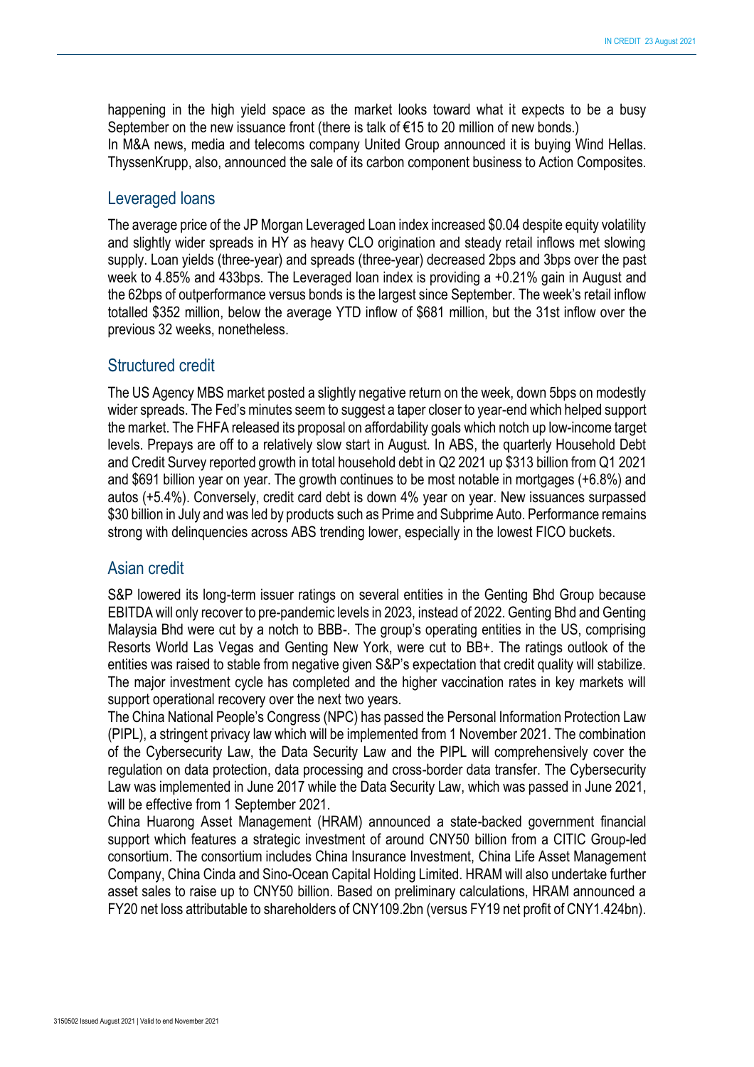happening in the high yield space as the market looks toward what it expects to be a busy September on the new issuance front (there is talk of €15 to 20 million of new bonds.) In M&A news, media and telecoms company United Group announced it is buying Wind Hellas. ThyssenKrupp, also, announced the sale of its carbon component business to Action Composites.

#### Leveraged loans

The average price of the JP Morgan Leveraged Loan index increased \$0.04 despite equity volatility and slightly wider spreads in HY as heavy CLO origination and steady retail inflows met slowing supply. Loan yields (three-year) and spreads (three-year) decreased 2bps and 3bps over the past week to 4.85% and 433bps. The Leveraged loan index is providing a +0.21% gain in August and the 62bps of outperformance versus bonds is the largest since September. The week's retail inflow totalled \$352 million, below the average YTD inflow of \$681 million, but the 31st inflow over the previous 32 weeks, nonetheless.

#### Structured credit

The US Agency MBS market posted a slightly negative return on the week, down 5bps on modestly wider spreads. The Fed's minutes seem to suggest a taper closer to year-end which helped support the market. The FHFA released its proposal on affordability goals which notch up low-income target levels. Prepays are off to a relatively slow start in August. In ABS, the quarterly Household Debt and Credit Survey reported growth in total household debt in Q2 2021 up \$313 billion from Q1 2021 and \$691 billion year on year. The growth continues to be most notable in mortgages (+6.8%) and autos (+5.4%). Conversely, credit card debt is down 4% year on year. New issuances surpassed \$30 billion in July and was led by products such as Prime and Subprime Auto. Performance remains strong with delinquencies across ABS trending lower, especially in the lowest FICO buckets.

#### Asian credit

S&P lowered its long-term issuer ratings on several entities in the Genting Bhd Group because EBITDA will only recover to pre-pandemic levels in 2023, instead of 2022. Genting Bhd and Genting Malaysia Bhd were cut by a notch to BBB-. The group's operating entities in the US, comprising Resorts World Las Vegas and Genting New York, were cut to BB+. The ratings outlook of the entities was raised to stable from negative given S&P's expectation that credit quality will stabilize. The major investment cycle has completed and the higher vaccination rates in key markets will support operational recovery over the next two years.

The China National People's Congress (NPC) has passed the Personal Information Protection Law (PIPL), a stringent privacy law which will be implemented from 1 November 2021. The combination of the Cybersecurity Law, the Data Security Law and the PIPL will comprehensively cover the regulation on data protection, data processing and cross-border data transfer. The Cybersecurity Law was implemented in June 2017 while the Data Security Law, which was passed in June 2021, will be effective from 1 September 2021.

China Huarong Asset Management (HRAM) announced a state-backed government financial support which features a strategic investment of around CNY50 billion from a CITIC Group-led consortium. The consortium includes China Insurance Investment, China Life Asset Management Company, China Cinda and Sino-Ocean Capital Holding Limited. HRAM will also undertake further asset sales to raise up to CNY50 billion. Based on preliminary calculations, HRAM announced a FY20 net loss attributable to shareholders of CNY109.2bn (versus FY19 net profit of CNY1.424bn).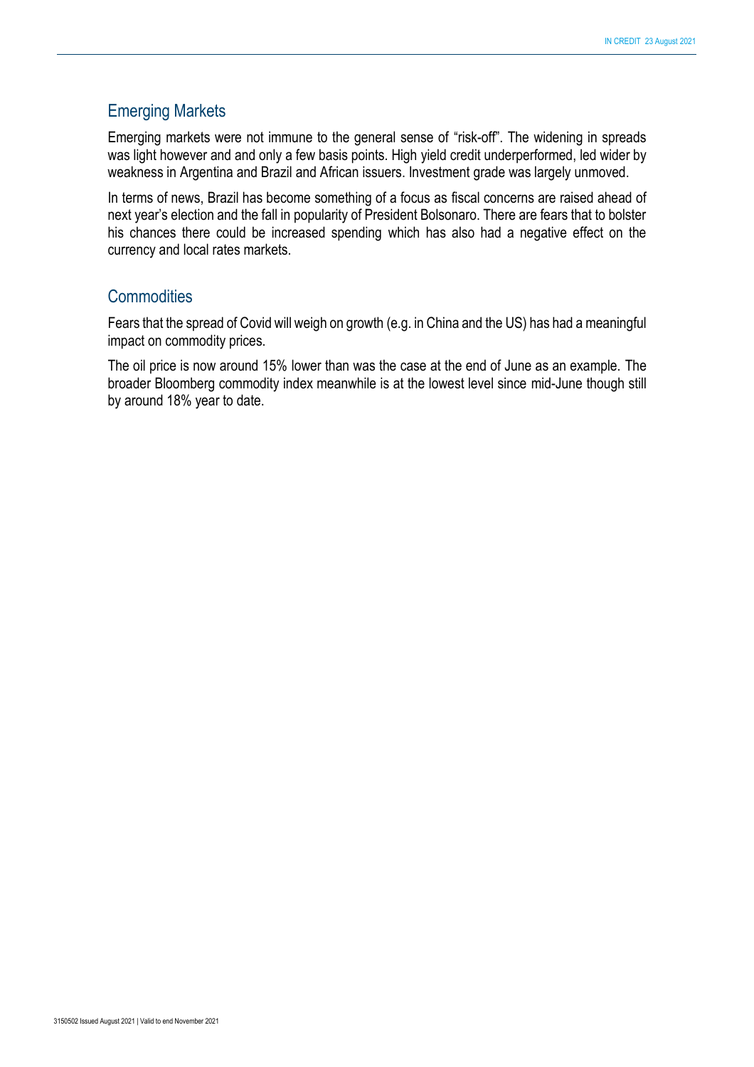# Emerging Markets

Emerging markets were not immune to the general sense of "risk-off". The widening in spreads was light however and and only a few basis points. High yield credit underperformed, led wider by weakness in Argentina and Brazil and African issuers. Investment grade was largely unmoved.

In terms of news, Brazil has become something of a focus as fiscal concerns are raised ahead of next year's election and the fall in popularity of President Bolsonaro. There are fears that to bolster his chances there could be increased spending which has also had a negative effect on the currency and local rates markets.

#### **Commodities**

Fears that the spread of Covid will weigh on growth (e.g. in China and the US) has had a meaningful impact on commodity prices.

The oil price is now around 15% lower than was the case at the end of June as an example. The broader Bloomberg commodity index meanwhile is at the lowest level since mid-June though still by around 18% year to date.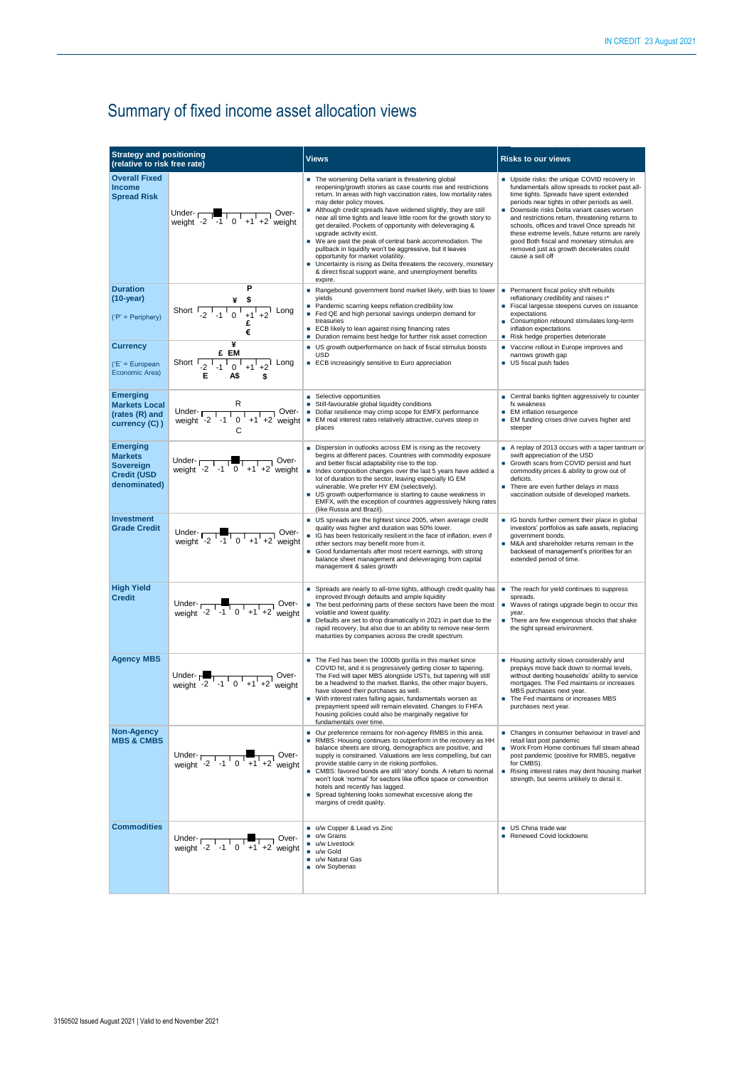# Summary of fixed income asset allocation views

| <b>Strategy and positioning</b>                                                      |                                                                                                                                                                                                                                                                                                                                 |                                                                                                                                                                                                                                                                                                                                                                                                                                                                                                                                                                                                                                                                                                                                                               |                                                                                                                                                                                                                                                                                                                                                                                                                                                                                                            |
|--------------------------------------------------------------------------------------|---------------------------------------------------------------------------------------------------------------------------------------------------------------------------------------------------------------------------------------------------------------------------------------------------------------------------------|---------------------------------------------------------------------------------------------------------------------------------------------------------------------------------------------------------------------------------------------------------------------------------------------------------------------------------------------------------------------------------------------------------------------------------------------------------------------------------------------------------------------------------------------------------------------------------------------------------------------------------------------------------------------------------------------------------------------------------------------------------------|------------------------------------------------------------------------------------------------------------------------------------------------------------------------------------------------------------------------------------------------------------------------------------------------------------------------------------------------------------------------------------------------------------------------------------------------------------------------------------------------------------|
| (relative to risk free rate)                                                         |                                                                                                                                                                                                                                                                                                                                 | <b>Views</b>                                                                                                                                                                                                                                                                                                                                                                                                                                                                                                                                                                                                                                                                                                                                                  | <b>Risks to our views</b>                                                                                                                                                                                                                                                                                                                                                                                                                                                                                  |
| <b>Overall Fixed</b><br><b>Income</b><br><b>Spread Risk</b>                          | Under- $\begin{array}{c c c c c c} \hline \text{Under} & 0 & 0 \\ \hline \text{weight} & -2 & -1 & 0 & +1 & +2 \\ \hline \end{array}$ weight                                                                                                                                                                                    | The worsening Delta variant is threatening global<br>reopening/growth stories as case counts rise and restrictions<br>return. In areas with high vaccination rates, low mortality rates<br>may deter policy moves.<br>Although credit spreads have widened slightly, they are still<br>near all time tights and leave little room for the growth story to<br>get derailed. Pockets of opportunity with deleveraging &<br>upgrade activity exist.<br>■ We are past the peak of central bank accommodation. The<br>pullback in liquidity won't be aggressive, but it leaves<br>opportunity for market volatility.<br>٠<br>Uncertainty is rising as Delta threatens the recovery, monetary<br>& direct fiscal support wane, and unemployment benefits<br>expire. | Upside risks: the unique COVID recovery in<br>fundamentals allow spreads to rocket past all-<br>time tights. Spreads have spent extended<br>periods near tights in other periods as well.<br>Downside risks Delta variant cases worsen<br>and restrictions return, threatening returns to<br>schools, offices and travel Once spreads hit<br>these extreme levels, future returns are rarely<br>good Both fiscal and monetary stimulus are<br>removed just as growth decelerates could<br>cause a sell off |
| <b>Duration</b><br>$(10-year)$<br>$('P' = Periphery)$                                | Р<br>Short $\frac{4}{1}$ $\frac{5}{1}$ $\frac{1}{1}$ $\frac{1}{0}$ $\frac{1}{1}$ $\frac{1}{1}$ $\frac{1}{1}$ $\frac{1}{1}$ $\frac{1}{1}$ $\frac{1}{1}$ $\frac{1}{1}$ $\frac{1}{1}$ $\frac{1}{1}$ $\frac{1}{1}$ $\frac{1}{1}$ $\frac{1}{1}$ $\frac{1}{1}$ $\frac{1}{1}$ $\frac{1}{1}$ $\frac{1}{1}$ $\frac{1}{1}$ $\frac{1$<br>€ | Rangebound government bond market likely, with bias to lower<br>yields<br>Pandemic scarring keeps reflation credibility low<br>٠<br>Fed QE and high personal savings underpin demand for<br>٠<br>treasuries<br>ECB likely to lean against rising financing rates<br>٠<br>Duration remains best hedge for further risk asset correction<br>٠                                                                                                                                                                                                                                                                                                                                                                                                                   | Permanent fiscal policy shift rebuilds<br>٠<br>reflationary credibility and raises r*<br>Fiscal largesse steepens curves on issuance<br>expectations<br>Consumption rebound stimulates long-term<br>inflation expectations<br>Risk hedge properties deteriorate                                                                                                                                                                                                                                            |
| <b>Currency</b><br>('E' = European<br>Economic Area)                                 | ¥<br>Short $\frac{E EM}{-2^{-1} - 1^{-1} 0^{-1} + 1^{1} + 2^{1}}$ Long<br>Е.<br>A\$<br>\$                                                                                                                                                                                                                                       | US growth outperformance on back of fiscal stimulus boosts<br><b>USD</b><br>ECB increasingly sensitive to Euro appreciation                                                                                                                                                                                                                                                                                                                                                                                                                                                                                                                                                                                                                                   | Vaccine rollout in Europe improves and<br>narrows growth gap<br>US fiscal push fades                                                                                                                                                                                                                                                                                                                                                                                                                       |
| <b>Emerging</b><br><b>Markets Local</b><br>(rates (R) and<br>currency (C))           | R<br>Under- $\sqrt{\frac{1}{1 + 1 + 2}}$ Over-<br>weight -2 -1 0 +1 +2 weight<br>C                                                                                                                                                                                                                                              | Selective opportunities<br>Still-favourable global liquidity conditions<br>Dollar resilience may crimp scope for EMFX performance<br>EM real interest rates relatively attractive, curves steep in<br>×<br>places                                                                                                                                                                                                                                                                                                                                                                                                                                                                                                                                             | ■ Central banks tighten aggressively to counter<br>fx weakness<br><b>EM</b> inflation resurgence<br>■ EM funding crises drive curves higher and<br>steeper                                                                                                                                                                                                                                                                                                                                                 |
| <b>Emerging</b><br><b>Markets</b><br>Sovereign<br><b>Credit (USD</b><br>denominated) | Under- $\frac{1}{2}$ -1 0 +1 +2 weight                                                                                                                                                                                                                                                                                          | Dispersion in outlooks across EM is rising as the recovery<br>begins at different paces. Countries with commodity exposure<br>and better fiscal adaptability rise to the top.<br>Index composition changes over the last 5 years have added a<br>lot of duration to the sector, leaving especially IG EM<br>vulnerable. We prefer HY EM (selectively).<br>US growth outperformance is starting to cause weakness in<br>٠<br>EMFX, with the exception of countries aggressively hiking rates<br>(like Russia and Brazil).                                                                                                                                                                                                                                      | A replay of 2013 occurs with a taper tantrum or<br>swift appreciation of the USD<br>Growth scars from COVID persist and hurt<br>commodity prices & ability to grow out of<br>deficits.<br>There are even further delays in mass<br>vaccination outside of developed markets.                                                                                                                                                                                                                               |
| <b>Investment</b><br><b>Grade Credit</b>                                             | Under- $\frac{1}{2}$ -1 0 +1 +2 weight                                                                                                                                                                                                                                                                                          | US spreads are the tightest since 2005, when average credit<br>quality was higher and duration was 50% lower.<br>IG has been historically resilient in the face of inflation, even if<br>other sectors may benefit more from it.<br>Good fundamentals after most recent earnings, with strong<br>balance sheet management and deleveraging from capital<br>management & sales growth                                                                                                                                                                                                                                                                                                                                                                          | G bonds further cement their place in global<br>investors' portfolios as safe assets, replacing<br>government bonds.<br>M&A and shareholder returns remain in the<br>backseat of management's priorities for an<br>extended period of time.                                                                                                                                                                                                                                                                |
| <b>High Yield</b><br><b>Credit</b>                                                   | Under- $\begin{array}{ c c c c c }\n\hline\n\text{Weight} & -2 & -1 & 0 & +1 & +2 \text{ weight}\n\end{array}$                                                                                                                                                                                                                  | Spreads are nearly to all-time tights, although credit quality has<br>٠<br>improved through defaults and ample liquidity<br>The best performing parts of these sectors have been the most<br>٠<br>volatile and lowest quality.<br>Defaults are set to drop dramatically in 2021 in part due to the<br>rapid recovery, but also due to an ability to remove near-term<br>maturities by companies across the credit spectrum.                                                                                                                                                                                                                                                                                                                                   | The reach for yield continues to suppress<br>spreads.<br>■ Waves of ratings upgrade begin to occur this<br>year.<br>There are few exogenous shocks that shake<br>٠<br>the tight spread environment.                                                                                                                                                                                                                                                                                                        |
| <b>Agency MBS</b>                                                                    | Under- $\begin{array}{c c c c c c} \hline \text{Under} & 1 & 0 & +1 & +2 \text{ weight} \end{array}$ Over-                                                                                                                                                                                                                      | The Fed has been the 1000lb gorilla in this market since<br>COVID hit, and it is progressively getting closer to tapering.<br>The Fed will taper MBS alongside USTs, but tapering will still<br>be a headwind to the market. Banks, the other major buyers,<br>have slowed their purchases as well.<br>With interest rates falling again, fundamentals worsen as<br>٠<br>prepayment speed will remain elevated. Changes to FHFA<br>housing policies could also be marginally negative for<br>fundamentals over time.                                                                                                                                                                                                                                          | Housing activity slows considerably and<br>prepays move back down to normal levels,<br>without denting households' ability to service<br>mortgages. The Fed maintains or increases<br>MBS purchases next year.<br>The Fed maintains or increases MBS<br>purchases next year.                                                                                                                                                                                                                               |
| <b>Non-Agency</b><br><b>MBS &amp; CMBS</b>                                           | Under- $\overline{1 \cdot 1 \cdot 1}$ $\overline{1 \cdot 1 \cdot 1}$ Over-<br>weight -2 -1 0 +1 +2 weight                                                                                                                                                                                                                       | Our preference remains for non-agency RMBS in this area.<br>٠<br>RMBS: Housing continues to outperform in the recovery as HH<br>balance sheets are strong, demographics are positive, and<br>supply is constrained. Valuations are less compelling, but can<br>provide stable carry in de risking portfolios.<br>CMBS: favored bonds are still 'story' bonds. A return to normal<br>won't look 'normal' for sectors like office space or convention<br>hotels and recently has lagged.<br>٠<br>Spread tightening looks somewhat excessive along the<br>margins of credit quality.                                                                                                                                                                             | ■ Changes in consumer behaviour in travel and<br>retail last post pandemic<br>■ Work From Home continues full steam ahead<br>post pandemic (positive for RMBS, negative<br>for CMBS).<br>Rising interest rates may dent housing market<br>strength, but seems unlikely to derail it.                                                                                                                                                                                                                       |
| <b>Commodities</b>                                                                   | Under- $\begin{array}{ c c c c c }\n\hline\n\text{Weyl} & -2 & -1 & 0 & +1 & +2 \\ \hline\n\text{weight} & -2 & -1 & 0 & +1 & +2 \\ \hline\n\end{array}$                                                                                                                                                                        | o/w Copper & Lead vs Zinc<br>٠<br>o/w Grains<br>u/w Livestock<br>٠<br>u/w Gold<br>u/w Natural Gas<br>٠<br>o/w Soybenas                                                                                                                                                                                                                                                                                                                                                                                                                                                                                                                                                                                                                                        | <b>US</b> China trade war<br>Renewed Covid lockdowns                                                                                                                                                                                                                                                                                                                                                                                                                                                       |